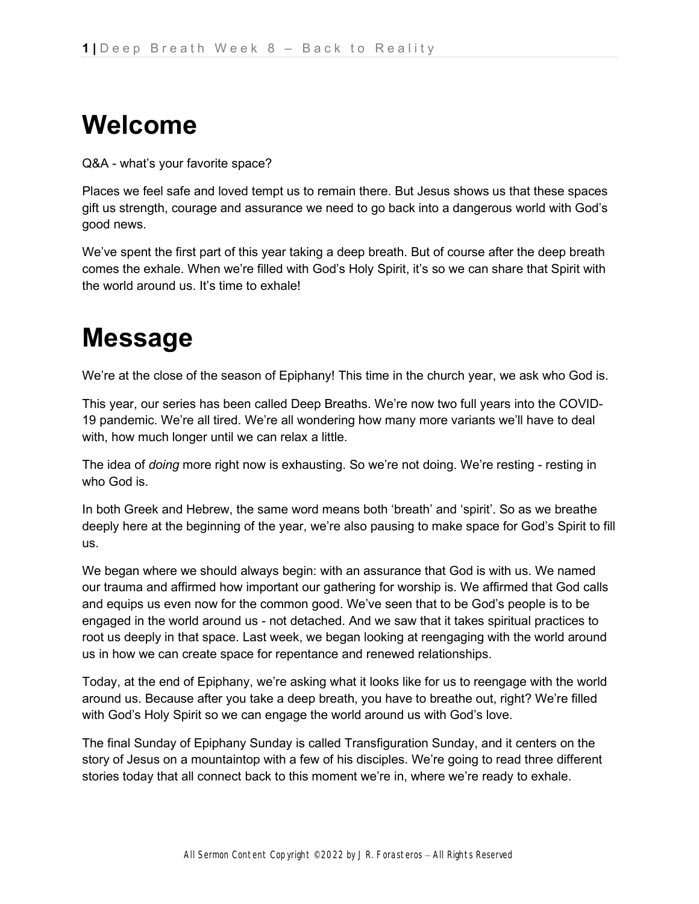## **Welcome**

Q&A - what's your favorite space?

Places we feel safe and loved tempt us to remain there. But Jesus shows us that these spaces gift us strength, courage and assurance we need to go back into a dangerous world with God's good news.

We've spent the first part of this year taking a deep breath. But of course after the deep breath comes the exhale. When we're filled with God's Holy Spirit, it's so we can share that Spirit with the world around us. It's time to exhale!

# **Message**

We're at the close of the season of Epiphany! This time in the church year, we ask who God is.

This year, our series has been called Deep Breaths. We're now two full years into the COVID-19 pandemic. We're all tired. We're all wondering how many more variants we'll have to deal with, how much longer until we can relax a little.

The idea of *doing* more right now is exhausting. So we're not doing. We're resting - resting in who God is.

In both Greek and Hebrew, the same word means both 'breath' and 'spirit'. So as we breathe deeply here at the beginning of the year, we're also pausing to make space for God's Spirit to fill us.

We began where we should always begin: with an assurance that God is with us. We named our trauma and affirmed how important our gathering for worship is. We affirmed that God calls and equips us even now for the common good. We've seen that to be God's people is to be engaged in the world around us - not detached. And we saw that it takes spiritual practices to root us deeply in that space. Last week, we began looking at reengaging with the world around us in how we can create space for repentance and renewed relationships.

Today, at the end of Epiphany, we're asking what it looks like for us to reengage with the world around us. Because after you take a deep breath, you have to breathe out, right? We're filled with God's Holy Spirit so we can engage the world around us with God's love.

The final Sunday of Epiphany Sunday is called Transfiguration Sunday, and it centers on the story of Jesus on a mountaintop with a few of his disciples. We're going to read three different stories today that all connect back to this moment we're in, where we're ready to exhale.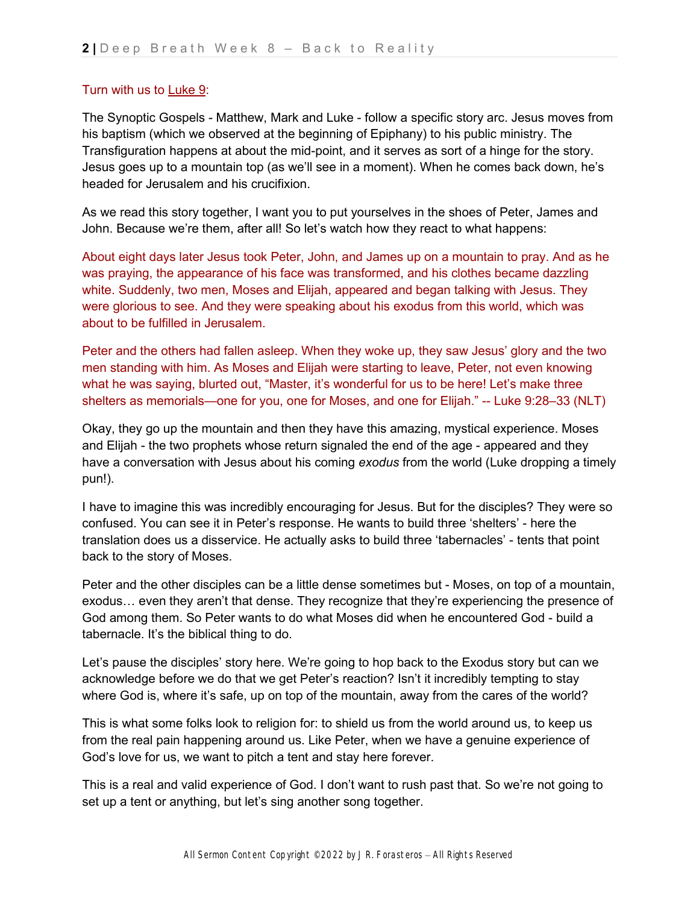#### Turn with us t[o](https://ref.ly/logosref/bible$2Bnlt.63.9) [Luke 9:](https://ref.ly/logosref/bible$2Bnlt.63.9)

The Synoptic Gospels - Matthew, Mark and Luke - follow a specific story arc. Jesus moves from his baptism (which we observed at the beginning of Epiphany) to his public ministry. The Transfiguration happens at about the mid-point, and it serves as sort of a hinge for the story. Jesus goes up to a mountain top (as we'll see in a moment). When he comes back down, he's headed for Jerusalem and his crucifixion.

As we read this story together, I want you to put yourselves in the shoes of Peter, James and John. Because we're them, after all! So let's watch how they react to what happens:

About eight days later Jesus took Peter, John, and James up on a mountain to pray. And as he was praying, the appearance of his face was transformed, and his clothes became dazzling white. Suddenly, two men, Moses and Elijah, appeared and began talking with Jesus. They were glorious to see. And they were speaking about his exodus from this world, which was about to be fulfilled in Jerusalem.

Peter and the others had fallen asleep. When they woke up, they saw Jesus' glory and the two men standing with him. As Moses and Elijah were starting to leave, Peter, not even knowing what he was saying, blurted out, "Master, it's wonderful for us to be here! Let's make three shelters as memorials—one for you, one for Moses, and one for Elijah." -- Luke 9:28–33 (NLT)

Okay, they go up the mountain and then they have this amazing, mystical experience. Moses and Elijah - the two prophets whose return signaled the end of the age - appeared and they have a conversation with Jesus about his coming *exodus* from the world (Luke dropping a timely pun!).

I have to imagine this was incredibly encouraging for Jesus. But for the disciples? They were so confused. You can see it in Peter's response. He wants to build three 'shelters' - here the translation does us a disservice. He actually asks to build three 'tabernacles' - tents that point back to the story of Moses.

Peter and the other disciples can be a little dense sometimes but - Moses, on top of a mountain, exodus… even they aren't that dense. They recognize that they're experiencing the presence of God among them. So Peter wants to do what Moses did when he encountered God - build a tabernacle. It's the biblical thing to do.

Let's pause the disciples' story here. We're going to hop back to the Exodus story but can we acknowledge before we do that we get Peter's reaction? Isn't it incredibly tempting to stay where God is, where it's safe, up on top of the mountain, away from the cares of the world?

This is what some folks look to religion for: to shield us from the world around us, to keep us from the real pain happening around us. Like Peter, when we have a genuine experience of God's love for us, we want to pitch a tent and stay here forever.

This is a real and valid experience of God. I don't want to rush past that. So we're not going to set up a tent or anything, but let's sing another song together.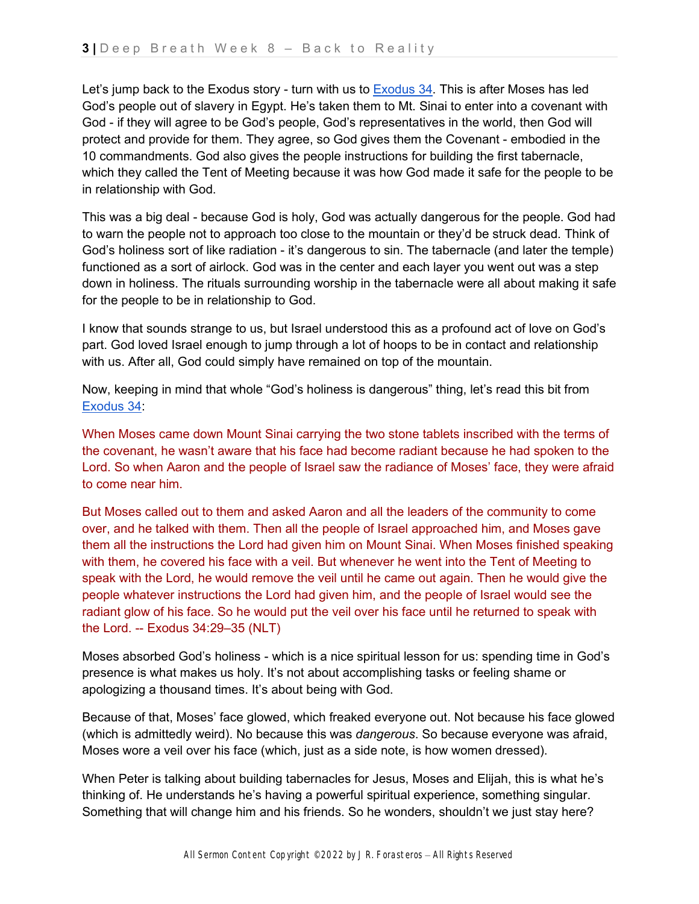Let's jump back t[o](https://ref.ly/logosref/bible$2Bnlt.2.34) the Exodus story - turn with us to [Exodus 34.](https://ref.ly/logosref/bible$2Bnlt.2.34) This is after Moses has led God's people out of slavery in Egypt. He's taken them to Mt. Sinai to enter into a covenant with God - if they will agree to be God's people, God's representatives in the world, then God will protect and provide for them. They agree, so God gives them the Covenant - embodied in the 10 commandments. God also gives the people instructions for building the first tabernacle, which they called the Tent of Meeting because it was how God made it safe for the people to be in relationship with God.

This was a big deal - because God is holy, God was actually dangerous for the people. God had to warn the people not to approach too close to the mountain or they'd be struck dead. Think of God's holiness sort of like radiation - it's dangerous to sin. The tabernacle (and later the temple) functioned as a sort of airlock. God was in the center and each layer you went out was a step down in holiness. The rituals surrounding worship in the tabernacle were all about making it safe for the people to be in relationship to God.

I know that sounds strange to us, but Israel understood this as a profound act of love on God's part. God loved Israel enough to jump through a lot of hoops to be in contact and relationship with us. After all, God could simply have remained on top of the mountain.

Now, keeping in mind that whole "God's holiness is dangerous" thing, let's read this bit fro[m](https://ref.ly/logosref/bible$2Bnlt.2.34) [Exodus 34:](https://ref.ly/logosref/bible$2Bnlt.2.34)

When Moses came down Mount Sinai carrying the two stone tablets inscribed with the terms of the covenant, he wasn't aware that his face had become radiant because he had spoken to the Lord. So when Aaron and the people of Israel saw the radiance of Moses' face, they were afraid to come near him.

But Moses called out to them and asked Aaron and all the leaders of the community to come over, and he talked with them. Then all the people of Israel approached him, and Moses gave them all the instructions the Lord had given him on Mount Sinai. When Moses finished speaking with them, he covered his face with a veil. But whenever he went into the Tent of Meeting to speak with the Lord, he would remove the veil until he came out again. Then he would give the people whatever instructions the Lord had given him, and the people of Israel would see the radiant glow of his face. So he would put the veil over his face until he returned to speak with the Lord. -- Exodus 34:29–35 (NLT)

Moses absorbed God's holiness - which is a nice spiritual lesson for us: spending time in God's presence is what makes us holy. It's not about accomplishing tasks or feeling shame or apologizing a thousand times. It's about being with God.

Because of that, Moses' face glowed, which freaked everyone out. Not because his face glowed (which is admittedly weird). No because this was *dangerous*. So because everyone was afraid, Moses wore a veil over his face (which, just as a side note, is how women dressed).

When Peter is talking about building tabernacles for Jesus, Moses and Elijah, this is what he's thinking of. He understands he's having a powerful spiritual experience, something singular. Something that will change him and his friends. So he wonders, shouldn't we just stay here?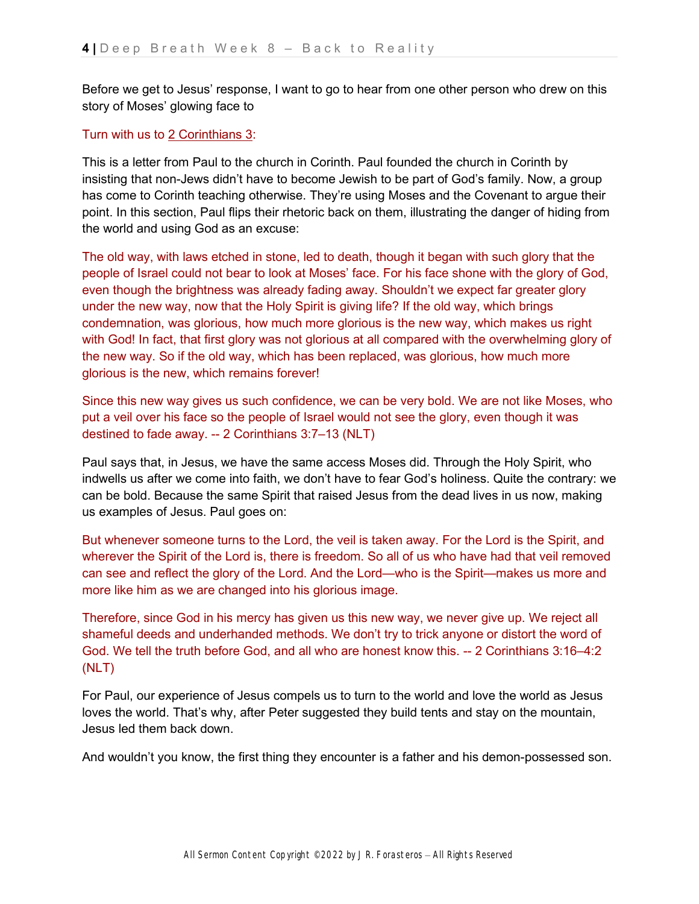Before we get to Jesus' response, I want to go to hear from one other person who drew on this story of Moses' glowing face to

#### Turn with us t[o](https://ref.ly/logosref/bible$2Bnlt.68.3) [2 Corinthians 3:](https://ref.ly/logosref/bible$2Bnlt.68.3)

This is a letter from Paul to the church in Corinth. Paul founded the church in Corinth by insisting that non-Jews didn't have to become Jewish to be part of God's family. Now, a group has come to Corinth teaching otherwise. They're using Moses and the Covenant to argue their point. In this section, Paul flips their rhetoric back on them, illustrating the danger of hiding from the world and using God as an excuse:

The old way, with laws etched in stone, led to death, though it began with such glory that the people of Israel could not bear to look at Moses' face. For his face shone with the glory of God, even though the brightness was already fading away. Shouldn't we expect far greater glory under the new way, now that the Holy Spirit is giving life? If the old way, which brings condemnation, was glorious, how much more glorious is the new way, which makes us right with God! In fact, that first glory was not glorious at all compared with the overwhelming glory of the new way. So if the old way, which has been replaced, was glorious, how much more glorious is the new, which remains forever!

Since this new way gives us such confidence, we can be very bold. We are not like Moses, who put a veil over his face so the people of Israel would not see the glory, even though it was destined to fade away. -- 2 Corinthians 3:7–13 (NLT)

Paul says that, in Jesus, we have the same access Moses did. Through the Holy Spirit, who indwells us after we come into faith, we don't have to fear God's holiness. Quite the contrary: we can be bold. Because the same Spirit that raised Jesus from the dead lives in us now, making us examples of Jesus. Paul goes on:

But whenever someone turns to the Lord, the veil is taken away. For the Lord is the Spirit, and wherever the Spirit of the Lord is, there is freedom. So all of us who have had that veil removed can see and reflect the glory of the Lord. And the Lord—who is the Spirit—makes us more and more like him as we are changed into his glorious image.

Therefore, since God in his mercy has given us this new way, we never give up. We reject all shameful deeds and underhanded methods. We don't try to trick anyone or distort the word of God. We tell the truth before God, and all who are honest know this. -- 2 Corinthians 3:16–4:2 (NLT)

For Paul, our experience of Jesus compels us to turn to the world and love the world as Jesus loves the world. That's why, after Peter suggested they build tents and stay on the mountain, Jesus led them back down.

And wouldn't you know, the first thing they encounter is a father and his demon-possessed son.